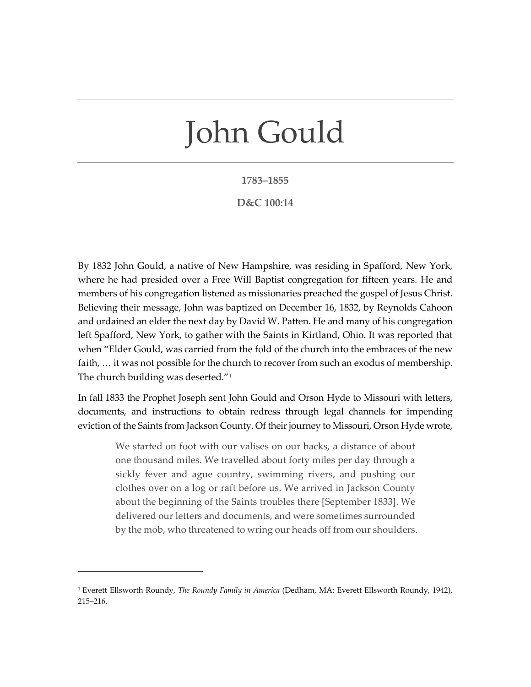## John Gould

## **1783–1855**

## **D&C 100:14**

By 1832 John Gould, a native of New Hampshire, was residing in Spafford, New York, where he had presided over a Free Will Baptist congregation for fifteen years. He and members of his congregation listened as missionaries preached the gospel of Jesus Christ. Believing their message, John was baptized on December 16, 1832, by Reynolds Cahoon and ordained an elder the next day by David W. Patten. He and many of his congregation left Spafford, New York, to gather with the Saints in Kirtland, Ohio. It was reported that when "Elder Gould, was carried from the fold of the church into the embraces of the new faith, … it was not possible for the church to recover from such an exodus of membership. The church building was deserted."[1](#page-0-0)

In fall 1833 the Prophet Joseph sent John Gould and Orson Hyde to Missouri with letters, documents, and instructions to obtain redress through legal channels for impending eviction of the Saints from Jackson County. Of their journey to Missouri, Orson Hyde wrote,

We started on foot with our valises on our backs, a distance of about one thousand miles. We travelled about forty miles per day through a sickly fever and ague country, swimming rivers, and pushing our clothes over on a log or raft before us. We arrived in Jackson County about the beginning of the Saints troubles there [September 1833]. We delivered our letters and documents, and were sometimes surrounded by the mob, who threatened to wring our heads off from our shoulders.

<span id="page-0-0"></span><sup>1</sup> Everett Ellsworth Roundy, *The Roundy Family in America* (Dedham, MA: Everett Ellsworth Roundy, 1942), 215–216.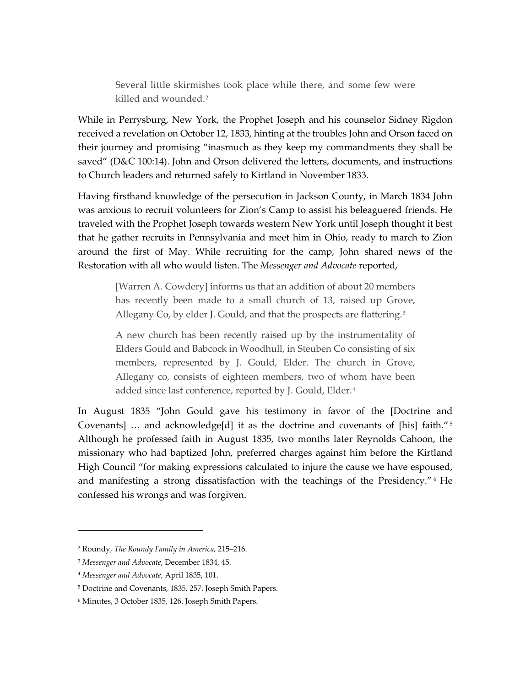Several little skirmishes took place while there, and some few were killed and wounded.<sup>[2](#page-1-0)</sup>

While in Perrysburg, New York, the Prophet Joseph and his counselor Sidney Rigdon received a revelation on October 12, 1833, hinting at the troubles John and Orson faced on their journey and promising "inasmuch as they keep my commandments they shall be saved" (D&C 100:14). John and Orson delivered the letters, documents, and instructions to Church leaders and returned safely to Kirtland in November 1833.

Having firsthand knowledge of the persecution in Jackson County, in March 1834 John was anxious to recruit volunteers for Zion's Camp to assist his beleaguered friends. He traveled with the Prophet Joseph towards western New York until Joseph thought it best that he gather recruits in Pennsylvania and meet him in Ohio, ready to march to Zion around the first of May. While recruiting for the camp, John shared news of the Restoration with all who would listen. The *Messenger and Advocate* reported,

[Warren A. Cowdery] informs us that an addition of about 20 members has recently been made to a small church of 13, raised up Grove, Allegany Co, by elder J. Gould, and that the prospects are flattering.<sup>[3](#page-1-1)</sup>

A new church has been recently raised up by the instrumentality of Elders Gould and Babcock in Woodhull, in Steuben Co consisting of six members, represented by J. Gould, Elder. The church in Grove, Allegany co, consists of eighteen members, two of whom have been added since last conference, reported by J. Gould, Elder.<sup>[4](#page-1-2)</sup>

In August 1835 "John Gould gave his testimony in favor of the [Doctrine and Covenants] … and acknowledge[d] it as the doctrine and covenants of [his] faith."[5](#page-1-3) Although he professed faith in August 1835, two months later Reynolds Cahoon, the missionary who had baptized John, preferred charges against him before the Kirtland High Council "for making expressions calculated to injure the cause we have espoused, and manifesting a strong dissatisfaction with the teachings of the Presidency." [6](#page-1-4) He confessed his wrongs and was forgiven.

<span id="page-1-0"></span><sup>2</sup> Roundy, *The Roundy Family in America*, 215–216.

<span id="page-1-1"></span><sup>3</sup> *Messenger and Advocate*, December 1834, 45.

<span id="page-1-2"></span><sup>4</sup> *Messenger and Advocate*, April 1835, 101.

<span id="page-1-3"></span><sup>5</sup> Doctrine and Covenants, 1835, 257. Joseph Smith Papers.

<span id="page-1-4"></span><sup>6</sup> Minutes, 3 October 1835, 126. Joseph Smith Papers.